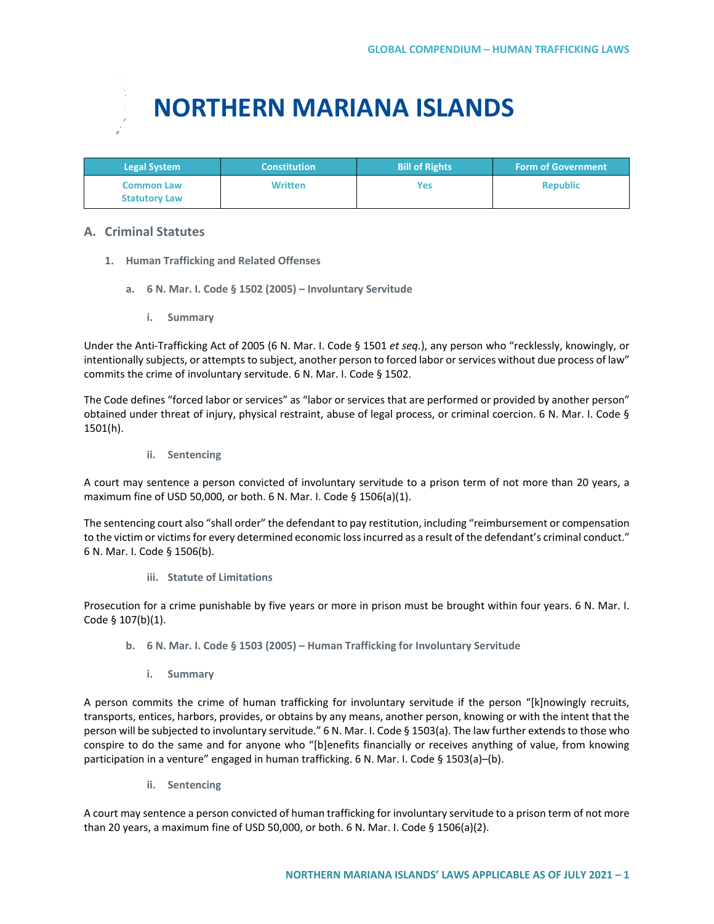# **NORTHERN MARIANA ISLANDS**

| <b>Legal System</b>                       | <b>Constitution</b> | <b>Bill of Rights</b> | <b>Form of Government</b> |
|-------------------------------------------|---------------------|-----------------------|---------------------------|
| <b>Common Law</b><br><b>Statutory Law</b> | <b>Written</b>      | Yes                   | <b>Republic</b>           |

## **A. Criminal Statutes**

- **1. Human Trafficking and Related Offenses**
	- **a. 6 N. Mar. I. Code § 1502 (2005) – Involuntary Servitude**
		- **i. Summary**

Under the Anti-Trafficking Act of 2005 (6 N. Mar. I. Code § 1501 *et seq.*), any person who "recklessly, knowingly, or intentionally subjects, or attempts to subject, another person to forced labor or services without due process of law" commits the crime of involuntary servitude. 6 N. Mar. I. Code § 1502.

The Code defines "forced labor or services" as "labor or services that are performed or provided by another person" obtained under threat of injury, physical restraint, abuse of legal process, or criminal coercion. 6 N. Mar. I. Code § 1501(h).

**ii. Sentencing**

A court may sentence a person convicted of involuntary servitude to a prison term of not more than 20 years, a maximum fine of USD 50,000, or both. 6 N. Mar. I. Code § 1506(a)(1).

The sentencing court also "shall order" the defendant to pay restitution, including "reimbursement or compensation to the victim or victims for every determined economic loss incurred as a result of the defendant's criminal conduct." 6 N. Mar. I. Code § 1506(b).

**iii. Statute of Limitations**

Prosecution for a crime punishable by five years or more in prison must be brought within four years. 6 N. Mar. I. Code § 107(b)(1).

- **b. 6 N. Mar. I. Code § 1503 (2005) – Human Trafficking for Involuntary Servitude**
	- **i. Summary**

A person commits the crime of human trafficking for involuntary servitude if the person "[k]nowingly recruits, transports, entices, harbors, provides, or obtains by any means, another person, knowing or with the intent that the person will be subjected to involuntary servitude." 6 N. Mar. I. Code § 1503(a). The law further extends to those who conspire to do the same and for anyone who "[b]enefits financially or receives anything of value, from knowing participation in a venture" engaged in human trafficking. 6 N. Mar. I. Code § 1503(a)–(b).

**ii. Sentencing**

A court may sentence a person convicted of human trafficking for involuntary servitude to a prison term of not more than 20 years, a maximum fine of USD 50,000, or both. 6 N. Mar. I. Code § 1506(a)(2).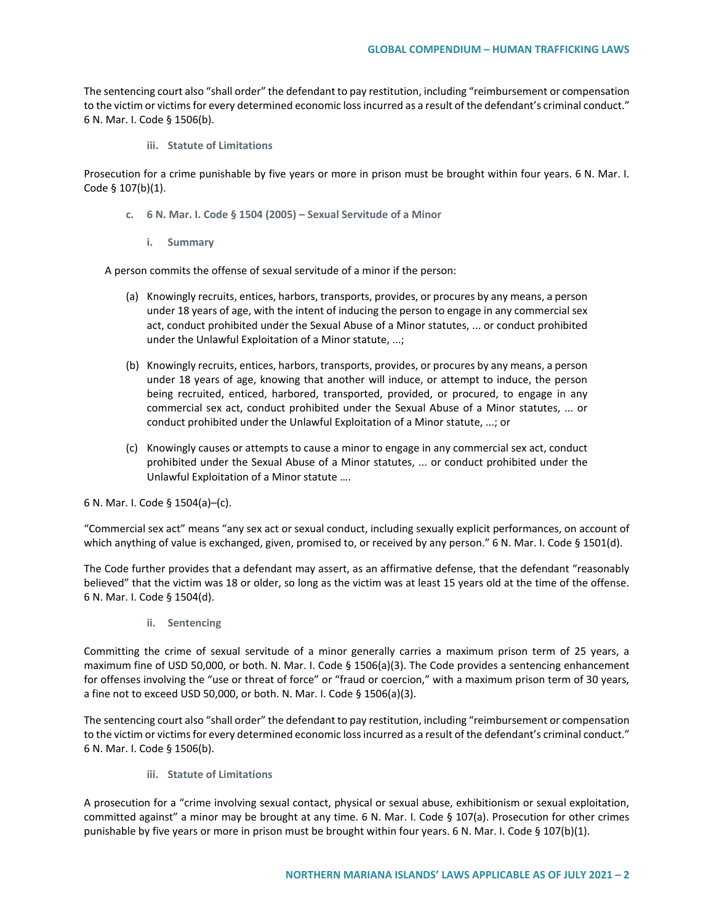The sentencing court also "shall order" the defendant to pay restitution, including "reimbursement or compensation to the victim or victims for every determined economic loss incurred as a result of the defendant's criminal conduct." 6 N. Mar. I. Code § 1506(b).

**iii. Statute of Limitations**

Prosecution for a crime punishable by five years or more in prison must be brought within four years. 6 N. Mar. I. Code § 107(b)(1).

- **c. 6 N. Mar. I. Code § 1504 (2005) – Sexual Servitude of a Minor**
	- **i. Summary**

A person commits the offense of sexual servitude of a minor if the person:

- (a) Knowingly recruits, entices, harbors, transports, provides, or procures by any means, a person under 18 years of age, with the intent of inducing the person to engage in any commercial sex act, conduct prohibited under the Sexual Abuse of a Minor statutes, ... or conduct prohibited under the Unlawful Exploitation of a Minor statute, ...;
- (b) Knowingly recruits, entices, harbors, transports, provides, or procures by any means, a person under 18 years of age, knowing that another will induce, or attempt to induce, the person being recruited, enticed, harbored, transported, provided, or procured, to engage in any commercial sex act, conduct prohibited under the Sexual Abuse of a Minor statutes, ... or conduct prohibited under the Unlawful Exploitation of a Minor statute, ...; or
- (c) Knowingly causes or attempts to cause a minor to engage in any commercial sex act, conduct prohibited under the Sexual Abuse of a Minor statutes, ... or conduct prohibited under the Unlawful Exploitation of a Minor statute ….

6 N. Mar. I. Code § 1504(a)–(c).

"Commercial sex act" means "any sex act or sexual conduct, including sexually explicit performances, on account of which anything of value is exchanged, given, promised to, or received by any person." 6 N. Mar. I. Code § 1501(d).

The Code further provides that a defendant may assert, as an affirmative defense, that the defendant "reasonably believed" that the victim was 18 or older, so long as the victim was at least 15 years old at the time of the offense. 6 N. Mar. I. Code § 1504(d).

**ii. Sentencing**

Committing the crime of sexual servitude of a minor generally carries a maximum prison term of 25 years, a maximum fine of USD 50,000, or both. N. Mar. I. Code § 1506(a)(3). The Code provides a sentencing enhancement for offenses involving the "use or threat of force" or "fraud or coercion," with a maximum prison term of 30 years, a fine not to exceed USD 50,000, or both. N. Mar. I. Code § 1506(a)(3).

The sentencing court also "shall order" the defendant to pay restitution, including "reimbursement or compensation to the victim or victims for every determined economic loss incurred as a result of the defendant's criminal conduct." 6 N. Mar. I. Code § 1506(b).

**iii. Statute of Limitations**

A prosecution for a "crime involving sexual contact, physical or sexual abuse, exhibitionism or sexual exploitation, committed against" a minor may be brought at any time. 6 N. Mar. I. Code § 107(a). Prosecution for other crimes punishable by five years or more in prison must be brought within four years. 6 N. Mar. I. Code § 107(b)(1).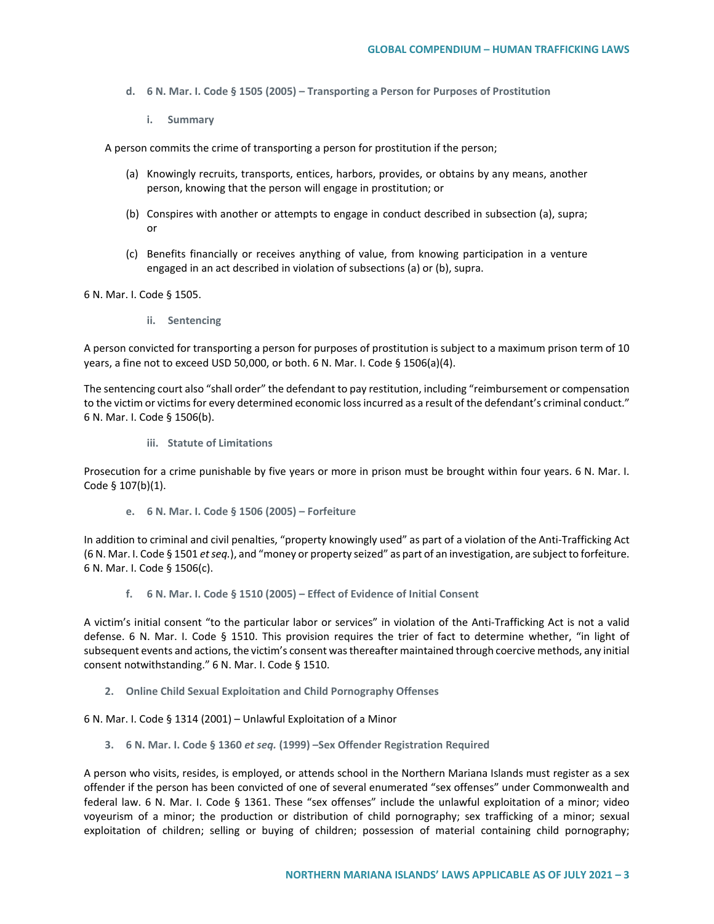- **d. 6 N. Mar. I. Code § 1505 (2005) – Transporting a Person for Purposes of Prostitution** 
	- **i. Summary**

A person commits the crime of transporting a person for prostitution if the person;

- (a) Knowingly recruits, transports, entices, harbors, provides, or obtains by any means, another person, knowing that the person will engage in prostitution; or
- (b) Conspires with another or attempts to engage in conduct described in subsection (a), supra; or
- (c) Benefits financially or receives anything of value, from knowing participation in a venture engaged in an act described in violation of subsections (a) or (b), supra.

6 N. Mar. I. Code § 1505.

**ii. Sentencing**

A person convicted for transporting a person for purposes of prostitution is subject to a maximum prison term of 10 years, a fine not to exceed USD 50,000, or both. 6 N. Mar. I. Code  $\S$  1506(a)(4).

The sentencing court also "shall order" the defendant to pay restitution, including "reimbursement or compensation to the victim or victims for every determined economic loss incurred as a result of the defendant's criminal conduct." 6 N. Mar. I. Code § 1506(b).

**iii. Statute of Limitations**

Prosecution for a crime punishable by five years or more in prison must be brought within four years. 6 N. Mar. I. Code § 107(b)(1).

**e. 6 N. Mar. I. Code § 1506 (2005) – Forfeiture**

In addition to criminal and civil penalties, "property knowingly used" as part of a violation of the Anti-Trafficking Act (6 N. Mar. I. Code § 1501 *et seq.*), and "money or property seized" as part of an investigation, are subject to forfeiture. 6 N. Mar. I. Code § 1506(c).

**f. 6 N. Mar. I. Code § 1510 (2005) – Effect of Evidence of Initial Consent**

A victim's initial consent "to the particular labor or services" in violation of the Anti-Trafficking Act is not a valid defense. 6 N. Mar. I. Code § 1510. This provision requires the trier of fact to determine whether, "in light of subsequent events and actions, the victim's consent was thereafter maintained through coercive methods, any initial consent notwithstanding." 6 N. Mar. I. Code § 1510.

**2. Online Child Sexual Exploitation and Child Pornography Offenses**

6 N. Mar. I. Code § 1314 (2001) – Unlawful Exploitation of a Minor

**3. 6 N. Mar. I. Code § 1360** *et seq.* **(1999) –Sex Offender Registration Required**

A person who visits, resides, is employed, or attends school in the Northern Mariana Islands must register as a sex offender if the person has been convicted of one of several enumerated "sex offenses" under Commonwealth and federal law. 6 N. Mar. I. Code § 1361. These "sex offenses" include the unlawful exploitation of a minor; video voyeurism of a minor; the production or distribution of child pornography; sex trafficking of a minor; sexual exploitation of children; selling or buying of children; possession of material containing child pornography;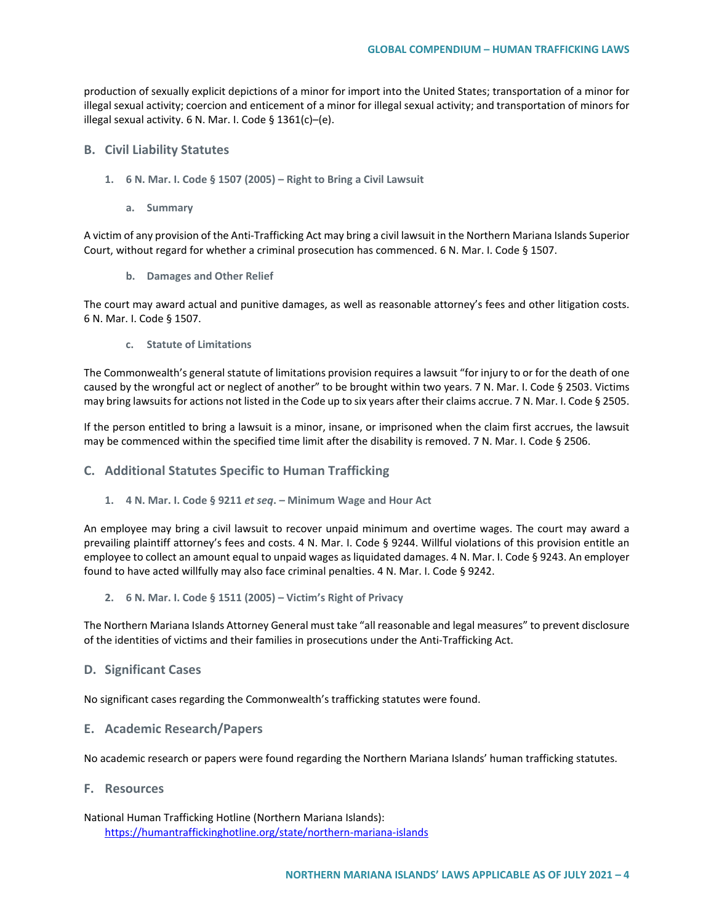production of sexually explicit depictions of a minor for import into the United States; transportation of a minor for illegal sexual activity; coercion and enticement of a minor for illegal sexual activity; and transportation of minors for illegal sexual activity. 6 N. Mar. I. Code § 1361(c)–(e).

#### **B. Civil Liability Statutes**

- **1. 6 N. Mar. I. Code § 1507 (2005) – Right to Bring a Civil Lawsuit**
	- **a. Summary**

A victim of any provision of the Anti-Trafficking Act may bring a civil lawsuit in the Northern Mariana Islands Superior Court, without regard for whether a criminal prosecution has commenced. 6 N. Mar. I. Code § 1507.

**b. Damages and Other Relief**

The court may award actual and punitive damages, as well as reasonable attorney's fees and other litigation costs. 6 N. Mar. I. Code § 1507.

**c. Statute of Limitations**

The Commonwealth's general statute of limitations provision requires a lawsuit "for injury to or for the death of one caused by the wrongful act or neglect of another" to be brought within two years. 7 N. Mar. I. Code § 2503. Victims may bring lawsuits for actions not listed in the Code up to six years after their claims accrue. 7 N. Mar. I. Code § 2505.

If the person entitled to bring a lawsuit is a minor, insane, or imprisoned when the claim first accrues, the lawsuit may be commenced within the specified time limit after the disability is removed. 7 N. Mar. I. Code § 2506.

#### **C. Additional Statutes Specific to Human Trafficking**

**1. 4 N. Mar. I. Code § 9211** *et seq***. – Minimum Wage and Hour Act**

An employee may bring a civil lawsuit to recover unpaid minimum and overtime wages. The court may award a prevailing plaintiff attorney's fees and costs. 4 N. Mar. I. Code § 9244. Willful violations of this provision entitle an employee to collect an amount equal to unpaid wages as liquidated damages. 4 N. Mar. I. Code § 9243. An employer found to have acted willfully may also face criminal penalties. 4 N. Mar. I. Code § 9242.

**2. 6 N. Mar. I. Code § 1511 (2005) – Victim's Right of Privacy**

The Northern Mariana Islands Attorney General must take "all reasonable and legal measures" to prevent disclosure of the identities of victims and their families in prosecutions under the Anti-Trafficking Act.

#### **D. Significant Cases**

No significant cases regarding the Commonwealth's trafficking statutes were found.

#### **E. Academic Research/Papers**

No academic research or papers were found regarding the Northern Mariana Islands' human trafficking statutes.

### **F. Resources**

National Human Trafficking Hotline (Northern Mariana Islands): <https://humantraffickinghotline.org/state/northern-mariana-islands>